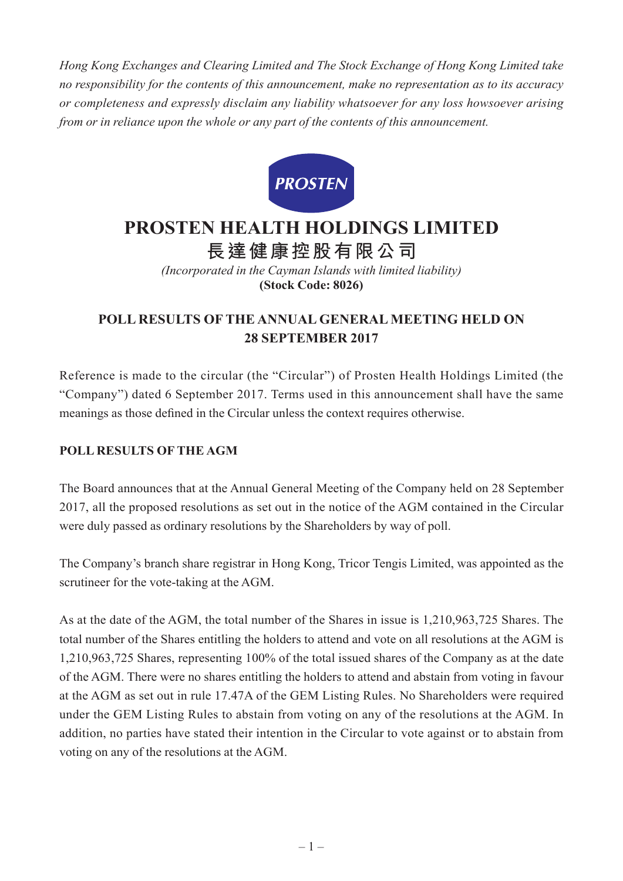*Hong Kong Exchanges and Clearing Limited and The Stock Exchange of Hong Kong Limited take no responsibility for the contents of this announcement, make no representation as to its accuracy or completeness and expressly disclaim any liability whatsoever for any loss howsoever arising from or in reliance upon the whole or any part of the contents of this announcement.*



## **PROSTEN HEALTH HOLDINGS LIMITED 長達健康控股有限公司**

*(Incorporated in the Cayman Islands with limited liability)* **(Stock Code: 8026)**

## **POLL RESULTS OF THE ANNUAL GENERAL MEETING HELD ON 28 SEPTEMBER 2017**

Reference is made to the circular (the "Circular") of Prosten Health Holdings Limited (the "Company") dated 6 September 2017. Terms used in this announcement shall have the same meanings as those defined in the Circular unless the context requires otherwise.

## **POLL RESULTS OF THE AGM**

The Board announces that at the Annual General Meeting of the Company held on 28 September 2017, all the proposed resolutions as set out in the notice of the AGM contained in the Circular were duly passed as ordinary resolutions by the Shareholders by way of poll.

The Company's branch share registrar in Hong Kong, Tricor Tengis Limited, was appointed as the scrutineer for the vote-taking at the AGM.

As at the date of the AGM, the total number of the Shares in issue is 1,210,963,725 Shares. The total number of the Shares entitling the holders to attend and vote on all resolutions at the AGM is 1,210,963,725 Shares, representing 100% of the total issued shares of the Company as at the date of the AGM. There were no shares entitling the holders to attend and abstain from voting in favour at the AGM as set out in rule 17.47A of the GEM Listing Rules. No Shareholders were required under the GEM Listing Rules to abstain from voting on any of the resolutions at the AGM. In addition, no parties have stated their intention in the Circular to vote against or to abstain from voting on any of the resolutions at the AGM.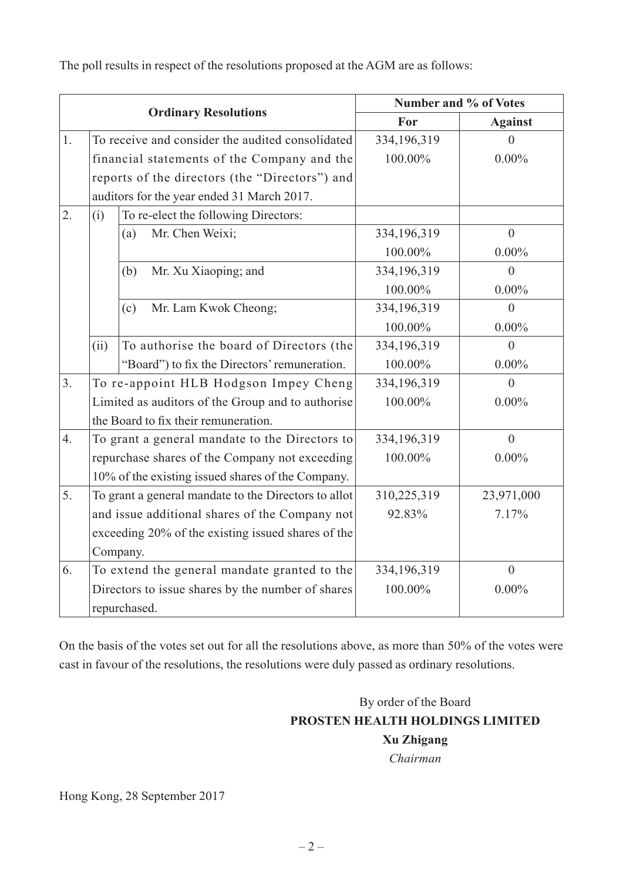The poll results in respect of the resolutions proposed at the AGM are as follows:

| <b>Ordinary Resolutions</b> |                                                      |                                                  | Number and % of Votes |                |
|-----------------------------|------------------------------------------------------|--------------------------------------------------|-----------------------|----------------|
|                             |                                                      |                                                  | For                   | <b>Against</b> |
| 1.                          |                                                      | To receive and consider the audited consolidated | 334,196,319           |                |
|                             | financial statements of the Company and the          |                                                  | 100.00%               | $0.00\%$       |
|                             | reports of the directors (the "Directors") and       |                                                  |                       |                |
|                             |                                                      | auditors for the year ended 31 March 2017.       |                       |                |
| 2.                          | (i)                                                  | To re-elect the following Directors:             |                       |                |
|                             |                                                      | Mr. Chen Weixi;<br>(a)                           | 334,196,319           | $\overline{0}$ |
|                             |                                                      |                                                  | 100.00%               | $0.00\%$       |
|                             |                                                      | Mr. Xu Xiaoping; and<br>(b)                      | 334,196,319           | $\theta$       |
|                             |                                                      |                                                  | 100.00%               | $0.00\%$       |
|                             |                                                      | Mr. Lam Kwok Cheong;<br>(c)                      | 334,196,319           | $\overline{0}$ |
|                             |                                                      |                                                  | 100.00%               | $0.00\%$       |
|                             | (ii)                                                 | To authorise the board of Directors (the         | 334,196,319           | $\overline{0}$ |
|                             |                                                      | "Board") to fix the Directors' remuneration.     | 100.00%               | $0.00\%$       |
| 3 <sub>1</sub>              | To re-appoint HLB Hodgson Impey Cheng                |                                                  | 334,196,319           | $\theta$       |
|                             | Limited as auditors of the Group and to authorise    |                                                  | 100.00%               | $0.00\%$       |
|                             |                                                      | the Board to fix their remuneration.             |                       |                |
| $\overline{4}$ .            | To grant a general mandate to the Directors to       |                                                  | 334,196,319           | $\overline{0}$ |
|                             | repurchase shares of the Company not exceeding       |                                                  | 100.00%               | $0.00\%$       |
|                             | 10% of the existing issued shares of the Company.    |                                                  |                       |                |
| 5.                          | To grant a general mandate to the Directors to allot |                                                  | 310,225,319           | 23,971,000     |
|                             | and issue additional shares of the Company not       |                                                  | 92.83%                | 7.17%          |
|                             | exceeding 20% of the existing issued shares of the   |                                                  |                       |                |
|                             |                                                      | Company.                                         |                       |                |
| 6.                          | To extend the general mandate granted to the         |                                                  | 334, 196, 319         | $\overline{0}$ |
|                             | Directors to issue shares by the number of shares    |                                                  | 100.00%               | $0.00\%$       |
|                             | repurchased.                                         |                                                  |                       |                |

On the basis of the votes set out for all the resolutions above, as more than 50% of the votes were cast in favour of the resolutions, the resolutions were duly passed as ordinary resolutions.

## By order of the Board **PROSTEN HEALTH HOLDINGS LIMITED Xu Zhigang**

*Chairman*

Hong Kong, 28 September 2017